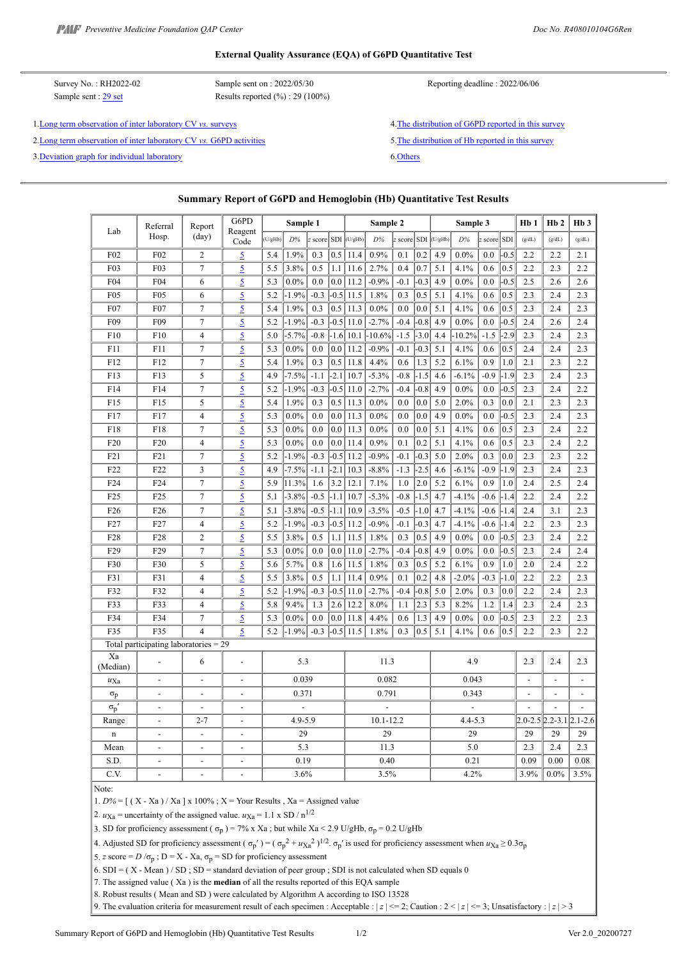#### **External Quality Assurance (EQA) of G6PD Quantitative Test**

| Survey No.: RH2022-02<br>Sample sent : 29 set               | Sample sent on : 2022/05/30<br>Results reported $(\%): 29(100\%)$ | Reporting deadline: 2022/06/06                      |
|-------------------------------------------------------------|-------------------------------------------------------------------|-----------------------------------------------------|
| 1. Long term observation of inter laboratory CV vs. surveys |                                                                   | 4. The distribution of G6PD reported in this survey |

2. Long term observation of inter laboratory CV *[vs.](https://g6pd.qap.tw/MIS_Ph/Diagram_CV_Summary.php?DiagramType=CV_Conc&FromBatchNo=RH2019-01&ToBatchNo=RH2022-02&ShowLast=1&Eng=1)* [G6PD activities](https://g6pd.qap.tw/MIS_Ph/Diagram_CV_Summary.php?DiagramType=CV_Conc&FromBatchNo=RH2019-01&ToBatchNo=RH2022-02&ShowLast=1&Eng=1) 5. The distribution of Hb reported in this survey

3[.Deviation graph for individual laboratory](https://g6pd.qap.tw/MIS_Ph/Diagram_Zscore_Summary.php?FromBatchNo=RH2019-01&ToBatchNo=RH2022-02&ShowLast=1&Eng=1) 6[.Others](https://g6pd.qap.tw/MIS_Ph/RH202202Others.htm)

### **Summary Report of G6PD and Hemoglobin (Hb) Quantitative Test Results**

|                                       | Referral                 | Report                   | G6PD                     | Sample 1 |          |        | Sample 2         |               |                      |        | Sample 3 |                |                          |                          | Hb1    | H <sub>b</sub> 2 | H <sub>b</sub> 3                |        |
|---------------------------------------|--------------------------|--------------------------|--------------------------|----------|----------|--------|------------------|---------------|----------------------|--------|----------|----------------|--------------------------|--------------------------|--------|------------------|---------------------------------|--------|
| Lab                                   | Hosp.                    | $\text{(day)}$           | Reagent<br>Code          | (U/gHb)  | D%       | score  |                  | $SDI$ (U/gHb) | D%                   | score  |          | $SDI$ (U/gHb)  | D%                       | score                    | SDI    | (g/dL)           | (g/dL)                          | (g/dL) |
| F02                                   | F02                      | $\overline{c}$           | $\overline{5}$           | 5.4      | 1.9%     | 0.3    | 0.5              | 11.4          | 0.9%                 | 0.1    | 0.2      | 4.9            | $0.0\%$                  | 0.0                      | $-0.5$ | 2.2              | 2.2                             | 2.1    |
| F03                                   | F03                      | $\tau$                   | $\overline{2}$           | 5.5      | 3.8%     | 0.5    | 1.1              | 11.6          | 2.7%                 | 0.4    | 0.7      | 5.1            | 4.1%                     | 0.6                      | 0.5    | 2.2              | 2.3                             | 2.2    |
| F04                                   | F04                      | 6                        | $\overline{5}$           | 5.3      | $0.0\%$  | 0.0    | 0.0              | 11.2          | $-0.9%$              | $-0.1$ | $-0.3$   | 4.9            | $0.0\%$                  | 0.0                      | $-0.5$ | 2.5              | 2.6                             | 2.6    |
| F <sub>05</sub>                       | F05                      | 6                        | $\overline{5}$           | 5.2      | $-1.9%$  | $-0.3$ |                  | $-0.5$ 11.5   | 1.8%                 | 0.3    | 0.5      | 5.1            | 4.1%                     | 0.6                      | 0.5    | 2.3              | 2.4                             | 2.3    |
| F <sub>0</sub> 7                      | F <sub>0</sub> 7         | $\tau$                   | $\overline{5}$           | 5.4      | 1.9%     | 0.3    | 0.5              | 11.3          | 0.0%                 | 0.0    | 0.0      | 5.1            | 4.1%                     | 0.6                      | 0.5    | 2.3              | 2.4                             | 2.3    |
| F <sub>09</sub>                       | F <sub>09</sub>          | $\tau$                   | $\overline{2}$           | 5.2      | $-1.9%$  | $-0.3$ |                  | $-0.5$   11.0 | $-2.7%$              | $-0.4$ | $-0.8$   | 4.9            | $0.0\%$                  | 0.0                      | $-0.5$ | 2.4              | 2.6                             | 2.4    |
| F10                                   | F10                      | $\overline{4}$           | $\overline{5}$           | 5.0      | $-5.7%$  | $-0.8$ |                  |               | $-1.6$ 10.1 $-10.6%$ | $-1.5$ | $-3.0$   | 4.4            | 10.2%                    | $-1.5$                   | $-2.9$ | 2.3              | 2.4                             | 2.3    |
| F11                                   | F11                      | $\overline{7}$           | $\overline{5}$           | 5.3      | $0.0\%$  | 0.0    | 0.0 <sub>1</sub> | 11.2          | $-0.9%$              | $-0.1$ | $-0.3$   | 5.1            | 4.1%                     | 0.6                      | 0.5    | 2.4              | 2.4                             | 2.3    |
| F12                                   | F12                      | $\tau$                   | $\overline{2}$           | 5.4      | 1.9%     | 0.3    | 0.5              | 11.8          | 4.4%                 | 0.6    | 1.3      | 5.2            | 6.1%                     | 0.9                      | 1.0    | 2.1              | 2.3                             | 2.2    |
| F13                                   | F13                      | 5                        | $\overline{2}$           | 4.9      | $-7.5%$  | $-1.1$ | $-2.1$           | 10.7          | $-5.3%$              | $-0.8$ | $-1.5$   | 4.6            | $-6.1%$                  | $-0.9$                   | $-1.9$ | 2.3              | 2.4                             | 2.3    |
| F14                                   | F14                      | $\tau$                   | $\overline{2}$           | 5.2      | $-1.9\%$ | $-0.3$ | $-0.5$           | 11.0          | $-2.7%$              | $-0.4$ | $-0.8$   | 4.9            | $0.0\%$                  | 0.0                      | $-0.5$ | 2.3              | 2.4                             | 2.2    |
| F15                                   | F15                      | 5                        | $\overline{5}$           | 5.4      | 1.9%     | 0.3    | 0.5              | 11.3          | 0.0%                 | 0.0    | 0.0      | 5.0            | 2.0%                     | 0.3                      | 0.0    | 2.1              | 2.3                             | 2.3    |
| F17                                   | F17                      | $\overline{4}$           | $\overline{5}$           | 5.3      | $0.0\%$  | 0.0    | 0.0              | 11.3          | 0.0%                 | 0.0    | 0.0      | 4.9            | $0.0\%$                  | 0.0                      | $-0.5$ | 2.3              | 2.4                             | 2.3    |
| F18                                   | F18                      | $\boldsymbol{7}$         | $\overline{5}$           | 5.3      | $0.0\%$  | 0.0    | 0.0              | 11.3          | $0.0\%$              | 0.0    | 0.0      | 5.1            | 4.1%                     | 0.6                      | 0.5    | 2.3              | 2.4                             | 2.2    |
| F <sub>20</sub>                       | F <sub>20</sub>          | $\overline{4}$           | $\overline{5}$           | 5.3      | $0.0\%$  | 0.0    | 0.0 <sub>1</sub> | 11.4          | 0.9%                 | 0.1    | 0.2      | 5.1            | 4.1%                     | 0.6                      | 0.5    | 2.3              | 2.4                             | 2.2    |
| F <sub>21</sub>                       | F21                      | $\overline{7}$           | $\overline{5}$           | 5.2      | $-1.9\%$ | $-0.3$ |                  | $-0.5$ 11.2   | $-0.9%$              | $-0.1$ | $-0.3$   | 5.0            | 2.0%                     | 0.3                      | 0.0    | 2.3              | 2.3                             | 2.2    |
| F <sub>22</sub>                       | F <sub>22</sub>          | $\mathfrak{Z}$           | $\overline{5}$           | 4.9      | $-7.5%$  | $-1.1$ | $-2.1$           | 10.3          | $-8.8%$              | $-1.3$ | $-2.5$   | 4.6            | $-6.1%$                  | $-0.9$                   | $-1.9$ | 2.3              | 2.4                             | 2.3    |
| F <sub>24</sub>                       | F <sub>24</sub>          | $\boldsymbol{7}$         | $\overline{5}$           | 5.9      | 11.3%    | 1.6    | 3.2              | 12.1          | 7.1%                 | 1.0    | 2.0      | 5.2            | 6.1%                     | 0.9                      | 1.0    | 2.4              | 2.5                             | 2.4    |
| F <sub>25</sub>                       | F25                      | $\tau$                   | $\overline{5}$           | 5.1      | $-3.8%$  | $-0.5$ | $-1.1$           | 10.7          | $-5.3%$              | $-0.8$ | $-1.5$   | 4.7            | $-4.1%$                  | $-0.6$                   | -1.4   | 2.2              | 2.4                             | 2.2    |
| F <sub>26</sub>                       | F <sub>26</sub>          | $\overline{7}$           | $\overline{5}$           | 5.1      | $-3.8\%$ | $-0.5$ | $-1.1$           | 10.9          | $-3.5%$              | $-0.5$ | $-1.0$   | 4.7            | $-4.1%$                  | $-0.6$                   | $-1.4$ | 2.4              | 3.1                             | 2.3    |
| F27                                   | F27                      | 4                        | $\overline{5}$           | 5.2      | $-1.9%$  | $-0.3$ |                  | $-0.5$ 11.2   | $-0.9%$              | $-0.1$ | $-0.3$   | 4.7            | $-4.1%$                  | $-0.6$                   | -1.4   | 2.2              | 2.3                             | 2.3    |
| F28                                   | F28                      | $\overline{c}$           | $\overline{5}$           | 5.5      | 3.8%     | 0.5    | 1.1              | 11.5          | 1.8%                 | 0.3    | 0.5      | 4.9            | $0.0\%$                  | 0.0                      | $-0.5$ | 2.3              | 2.4                             | 2.2    |
| F29                                   | F29                      | $\tau$                   | $\overline{2}$           | 5.3      | $0.0\%$  | 0.0    | $0.0\,$          | 11.0          | $-2.7%$              | $-0.4$ | $-0.8$   | 4.9            | $0.0\%$                  | 0.0                      | $-0.5$ | 2.3              | 2.4                             | 2.4    |
| F30                                   | F30                      | 5                        | 5                        | 5.6      | 5.7%     | 0.8    | 1.6              | 11.5          | 1.8%                 | 0.3    | 0.5      | 5.2            | 6.1%                     | 0.9                      | 1.0    | 2.0              | 2.4                             | 2.2    |
| F31                                   | F31                      | $\overline{4}$           | $\overline{5}$           | 5.5      | 3.8%     | 0.5    | 1.1              | 11.4          | 0.9%                 | 0.1    | 0.2      | 4.8            | $-2.0%$                  | $-0.3$                   | $-1.0$ | 2.2              | 2.2                             | 2.3    |
| F32                                   | F32                      | $\overline{4}$           | $\overline{5}$           | 5.2      | $-1.9%$  | $-0.3$ | $-0.5$           | 11.0          | $-2.7%$              | $-0.4$ | $-0.8$   | 5.0            | 2.0%                     | 0.3                      | 0.0    | 2.2              | 2.4                             | 2.3    |
| F33                                   | F33                      | $\overline{4}$           | $\overline{5}$           | 5.8      | 9.4%     | 1.3    | 2.6              | 12.2          | 8.0%                 | 1.1    | 2.3      | 5.3            | 8.2%                     | 1.2                      | 1.4    | 2.3              | 2.4                             | 2.3    |
| F34                                   | F34                      | $\overline{7}$           | 5                        | 5.3      | $0.0\%$  | 0.0    | $0.0\,$          | 11.8          | 4.4%                 | 0.6    | 1.3      | 4.9            | $0.0\%$                  | 0.0                      | $-0.5$ | 2.3              | 2.2                             | 2.3    |
| F35                                   | F35                      | $\overline{\mathbf{4}}$  | 5                        | 5.2      | $-1.9\%$ | $-0.3$ |                  | $-0.5$ 11.5   | 1.8%                 | 0.3    | 0.5      | 5.1            | 4.1%                     | 0.6                      | 0.5    | 2.2              | 2.3                             | 2.2    |
| Total participating laboratories = 29 |                          |                          |                          |          |          |        |                  |               |                      |        |          |                |                          |                          |        |                  |                                 |        |
| Xa<br>(Median)                        |                          | 6                        | ÷,                       |          | 5.3      |        |                  |               | 11.3                 |        |          |                | 4.9                      |                          |        | 2.3              | 2.4                             | 2.3    |
| $u_{\text{Xa}}$                       | $\overline{\phantom{a}}$ | $\overline{\phantom{a}}$ | $\overline{\phantom{a}}$ | 0.039    |          | 0.082  |                  |               | 0.043                |        |          | $\overline{a}$ | $\overline{\phantom{a}}$ | $\overline{\phantom{a}}$ |        |                  |                                 |        |
| $\sigma_p$                            | $\overline{a}$           | $\overline{a}$           | J.                       | 0.371    |          | 0.791  |                  |               | 0.343                |        |          | $\overline{a}$ | $\overline{\phantom{a}}$ | $\overline{\phantom{a}}$ |        |                  |                                 |        |
| $\sigma_p'$                           |                          |                          |                          |          |          |        |                  |               |                      |        |          |                |                          |                          |        |                  |                                 |        |
| Range                                 | $\overline{\phantom{0}}$ | $2 - 7$                  | $\overline{\phantom{a}}$ |          | 4.9-5.9  |        |                  |               | 10.1-12.2            |        |          |                | $4.4 - 5.3$              |                          |        |                  | $2.0 - 2.5$ 2.2 - 3.1 2.1 - 2.6 |        |
| $\mathbf n$                           | $\overline{a}$           | $\overline{a}$           | $\overline{a}$           | 29       |          |        | 29               |               |                      | 29     |          |                | 29                       | 29                       | 29     |                  |                                 |        |
| Mean                                  |                          |                          | Ĭ.                       | 5.3      |          |        | 11.3             |               |                      |        | 5.0      |                |                          | 2.3                      | 2.4    | 2.3              |                                 |        |
| S.D.                                  | $\overline{a}$           | $\overline{a}$           | $\overline{a}$           | 0.19     |          |        | 0.40             |               |                      |        | 0.21     |                |                          | 0.09                     | 0.00   | 0.08             |                                 |        |
| C.V.                                  |                          |                          |                          |          | 3.6%     |        |                  |               | 3.5%                 |        |          |                | 4.2%                     |                          |        | 3.9%             | 0.0%                            | 3.5%   |

Note:

1.  $D\% = [ (X - Xa) / Xa ] x 100\% ; X = Your Results , Xa = Assigned value$ 

2.  $u_{\text{Xa}}$  = uncertainty of the assigned value.  $u_{\text{Xa}} = 1.1 \text{ x SD} / \text{n}^{1/2}$ 

3. SD for proficiency assessment ( $\sigma_p$ ) = 7% x Xa; but while Xa < 2.9 U/gHb,  $\sigma_p$  = 0.2 U/gHb

4. Adjusted SD for proficiency assessment ( $\sigma_p'$ ) = ( $\sigma_p^2 + u_{Xa}^2$ )<sup>1/2</sup>.  $\sigma_p'$  is used for proficiency assessment when  $u_{Xa} \ge 0.3\sigma_p$ 

5. *z* score =  $D / \sigma_p$ ; D = X - Xa,  $\sigma_p$  = SD for proficiency assessment

6. SDI =  $(X - Mean) / SD$ ; SD = standard deviation of peer group; SDI is not calculated when SD equals 0

7. The assigned value ( Xa ) is the **median** of all the results reported of this EQA sample

8. Robust results ( Mean and SD ) were calculated by Algorithm A according to ISO 13528

9. The evaluation criteria for measurement result of each specimen : Acceptable :  $|z| \le 2$ ; Caution :  $2 \le |z| \le 3$ ; Unsatisfactory :  $|z| > 3$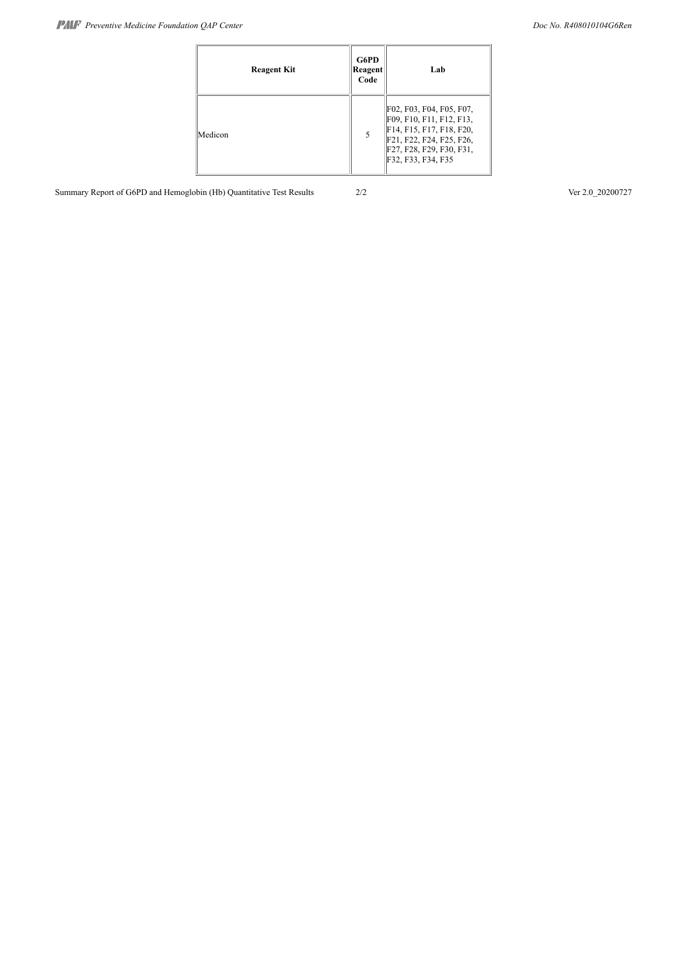| <b>Reagent Kit</b> | G6PD<br>Reagent<br>Code | Lab                                                                                                                                                            |
|--------------------|-------------------------|----------------------------------------------------------------------------------------------------------------------------------------------------------------|
| Medicon            |                         | F02, F03, F04, F05, F07,<br>F09, F10, F11, F12, F13,<br>F14, F15, F17, F18, F20,<br>F21, F22, F24, F25, F26,<br>F27, F28, F29, F30, F31,<br>F32, F33, F34, F35 |

Summary Report of G6PD and Hemoglobin (Hb) Quantitative Test Results 2/2 Ver 2.0\_20200727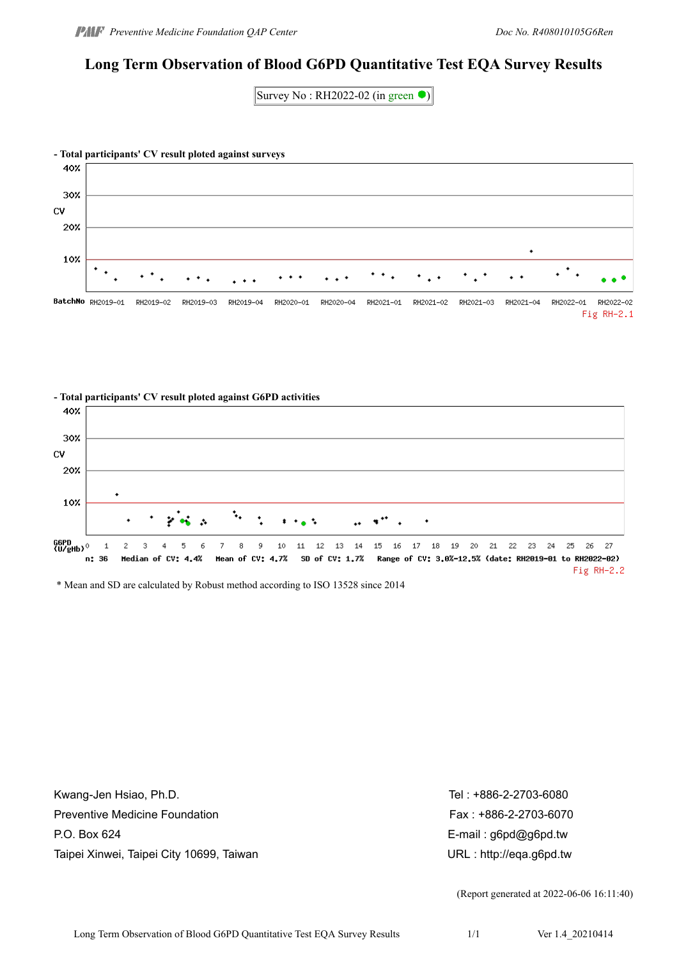## **Long Term Observation of Blood G6PD Quantitative Test EQA Survey Results**

Survey No: RH2022-02 (in green  $\bullet$ )





\* Mean and SD are calculated by Robust method according to ISO 13528 since 2014

Kwang-Jen Hsiao, Ph.D. The state of the state of the state of the state of the Second Second Second Second Second Second Second Second Second Second Second Second Second Second Second Second Second Second Second Second Sec Preventive Medicine Foundation **Fax : +886-2-2703-6070** Fax : +886-2-2703-6070 P.O. Box 624 **E-mail : g6pd@g6pd.tw** Taipei Xinwei, Taipei City 10699, Taiwan URL : http://eqa.g6pd.tw

(Report generated at 2022-06-06 16:11:40)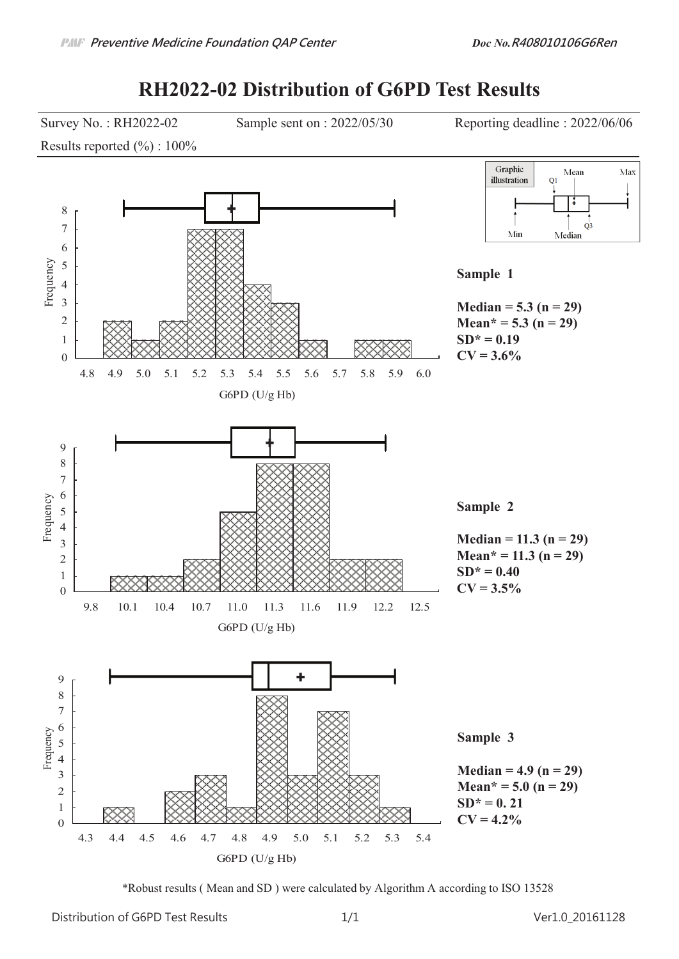# **RH2022-02 Distribution of G6PD Test Results**



\*Robust results ( Mean and SD ) were calculated by Algorithm A according to ISO 13528

Distribution of G6PD Test Results  $1/1$  1.1 and  $20161128$